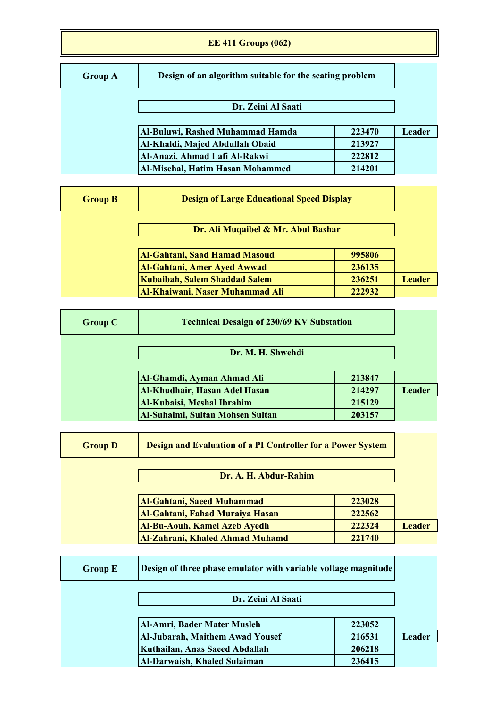#### **EE 411 Groups (062)**

## **Group A**

**Design of an algorithm suitable for the seating problem**

# **Dr. Zeini Al Saati**

| Al-Buluwi, Rashed Muhammad Hamda | 223470 | Leader |
|----------------------------------|--------|--------|
| Al-Khaldi, Majed Abdullah Obaid  | 213927 |        |
| Al-Anazi, Ahmad Lafi Al-Rakwi    | 222812 |        |
| Al-Misehal, Hatim Hasan Mohammed | 214201 |        |

| <b>Group B</b> | <b>Design of Large Educational Speed Display</b>                    |                  |               |
|----------------|---------------------------------------------------------------------|------------------|---------------|
|                | Dr. Ali Muqaibel & Mr. Abul Bashar                                  |                  |               |
|                | <b>Al-Gahtani, Saad Hamad Masoud</b>                                | 995806           |               |
|                | <b>Al-Gahtani, Amer Ayed Awwad</b><br>Kubaibah, Salem Shaddad Salem | 236135<br>236251 | <b>Leader</b> |
|                | Al-Khaiwani, Naser Muhammad Ali                                     | 222932           |               |

| <b>Group C</b> | <b>Technical Desaign of 230/69 KV Substation</b> |        |               |
|----------------|--------------------------------------------------|--------|---------------|
|                | Dr. M. H. Shwehdi                                |        |               |
|                | Al-Ghamdi, Ayman Ahmad Ali                       | 213847 |               |
|                | Al-Khudhair, Hasan Adel Hasan                    | 214297 | <b>Leader</b> |
|                | <b>Al-Kubaisi, Meshal Ibrahim</b>                | 215129 |               |
|                | <b>Al-Suhaimi, Sultan Mohsen Sultan</b>          | 203157 |               |

| <b>Group D</b> | <b>Design and Evaluation of a PI Controller for a Power System</b> |        |               |
|----------------|--------------------------------------------------------------------|--------|---------------|
|                | Dr. A. H. Abdur-Rahim                                              |        |               |
|                | <b>Al-Gahtani, Saeed Muhammad</b>                                  | 223028 |               |
|                | Al-Gahtani, Fahad Muraiya Hasan                                    | 222562 |               |
|                | <b>Al-Bu-Aouh, Kamel Azeb Ayedh</b>                                | 222324 | <b>Leader</b> |
|                | <b>Al-Zahrani, Khaled Ahmad Muhamd</b>                             | 221740 |               |

| Design of three phase emulator with variable voltage magnitude<br><b>Group E</b> |                                        |        |               |
|----------------------------------------------------------------------------------|----------------------------------------|--------|---------------|
|                                                                                  | Dr. Zeini Al Saati                     |        |               |
|                                                                                  | Al-Amri, Bader Mater Musleh            | 223052 |               |
|                                                                                  | <b>Al-Jubarah, Maithem Awad Yousef</b> | 216531 | <b>Leader</b> |
|                                                                                  | Kuthailan, Anas Saeed Abdallah         | 206218 |               |
|                                                                                  | Al-Darwaish, Khaled Sulaiman           | 236415 |               |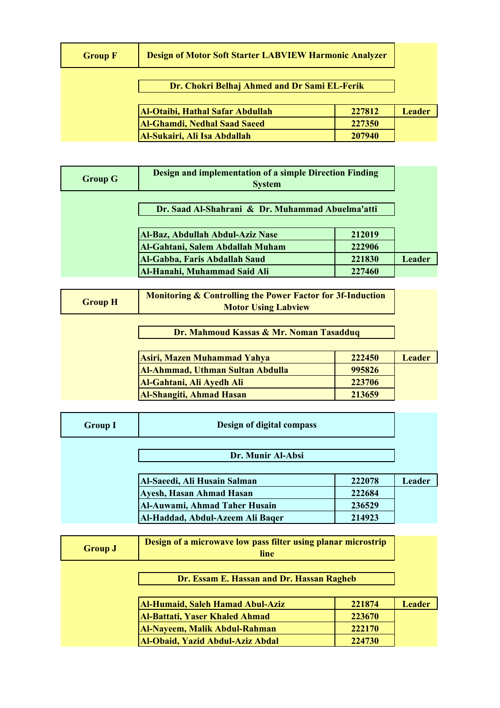| <b>Design of Motor Soft Starter LABVIEW Harmonic Analyzer</b><br><b>Group F</b> |                                              |        |               |
|---------------------------------------------------------------------------------|----------------------------------------------|--------|---------------|
|                                                                                 | Dr. Chokri Belhaj Ahmed and Dr Sami EL-Ferik |        |               |
|                                                                                 | Al-Otaibi, Hathal Safar Abdullah             | 227812 | <b>Leader</b> |
|                                                                                 | <b>Al-Ghamdi, Nedhal Saad Saeed</b>          | 227350 |               |
|                                                                                 | Al-Sukairi, Ali Isa Abdallah                 | 207940 |               |

| <b>Group G</b>                                   | Design and implementation of a simple Direction Finding<br><b>System</b> |                  |               |
|--------------------------------------------------|--------------------------------------------------------------------------|------------------|---------------|
| Dr. Saad Al-Shahrani & Dr. Muhammad Abuelma'atti |                                                                          |                  |               |
|                                                  | Al-Baz, Abdullah Abdul-Aziz Nase<br>Al-Gahtani, Salem Abdallah Muham     | 212019<br>222906 |               |
|                                                  | Al-Gabba, Faris Abdallah Saud                                            | 221830           | <b>Leader</b> |
|                                                  | Al-Hanahi, Muhammad Said Ali                                             | 227460           |               |

| <b>Monitoring &amp; Controlling the Power Factor for 3f-Induction</b><br><b>Group H</b><br><b>Motor Using Labview</b> |                                         |        |               |
|-----------------------------------------------------------------------------------------------------------------------|-----------------------------------------|--------|---------------|
| Dr. Mahmoud Kassas & Mr. Noman Tasadduq                                                                               |                                         |        |               |
|                                                                                                                       | Asiri, Mazen Muhammad Yahya             | 222450 | <b>Leader</b> |
|                                                                                                                       | <b>Al-Ahmmad, Uthman Sultan Abdulla</b> | 995826 |               |
|                                                                                                                       | Al-Gahtani, Ali Ayedh Ali               | 223706 |               |
|                                                                                                                       | <b>Al-Shangiti, Ahmad Hasan</b>         | 213659 |               |

| <b>Group I</b> | Design of digital compass        |        |        |
|----------------|----------------------------------|--------|--------|
|                | Dr. Munir Al-Absi                |        |        |
|                | Al-Saeedi, Ali Husain Salman     | 222078 | Leader |
|                | Ayesh, Hasan Ahmad Hasan         | 222684 |        |
|                | Al-Auwami, Ahmad Taher Husain    | 236529 |        |
|                | Al-Haddad, Abdul-Azeem Ali Baqer | 214923 |        |

| <b>Group J</b> | Design of a microwave low pass filter using planar microstrip<br>line |        |               |
|----------------|-----------------------------------------------------------------------|--------|---------------|
|                | Dr. Essam E. Hassan and Dr. Hassan Ragheb                             |        |               |
|                | <b>Al-Humaid, Saleh Hamad Abul-Aziz</b>                               | 221874 | <b>Leader</b> |
|                | <b>Al-Battati, Yaser Khaled Ahmad</b>                                 | 223670 |               |
|                | Al-Nayeem, Malik Abdul-Rahman                                         | 222170 |               |
|                | Al-Obaid, Yazid Abdul-Aziz Abdal                                      | 224730 |               |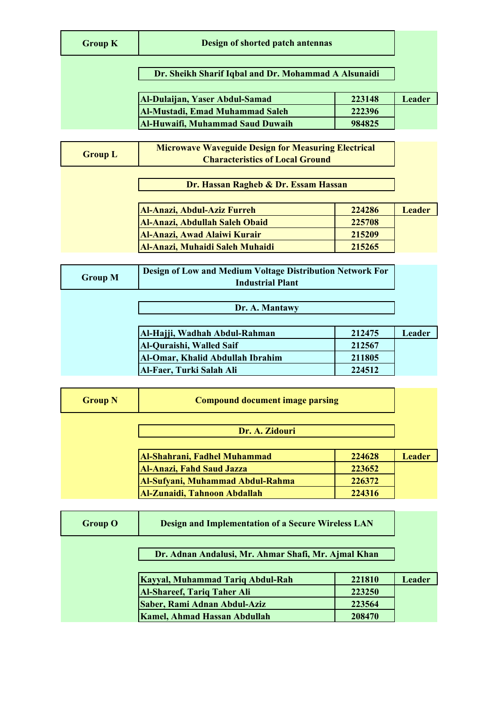|  | <b>Group K</b> |  |
|--|----------------|--|
|--|----------------|--|

#### **Design of shorted patch antennas**

#### **Dr. Sheikh Sharif Iqbal and Dr. Mohammad A Alsunaidi**

| <b>Al-Dulaijan, Yaser Abdul-Samad</b>   | 223148 | Leader |
|-----------------------------------------|--------|--------|
| <b>Al-Mustadi, Emad Muhammad Saleh</b>  | 222396 |        |
| <b>Al-Huwaifi, Muhammad Saud Duwaih</b> | 984825 |        |

**Group L Microwave Waveguide Design for Measuring Electrical Characteristics of Local Ground**

**Dr. Hassan Ragheb & Dr. Essam Hassan**

| <b>Al-Anazi, Abdul-Aziz Furreh</b>     | 224286 | <b>Leader</b> |
|----------------------------------------|--------|---------------|
| Al-Anazi, Abdullah Saleh Obaid         | 225708 |               |
| <b>Al-Anazi, Awad Alaiwi Kurair</b>    | 215209 |               |
| <b>Al-Anazi, Muhaidi Saleh Muhaidi</b> | 215265 |               |

| Design of Low and Medium Voltage Distribution Network For<br><b>Group M</b><br><b>Industrial Plant</b> |                                  |        |        |
|--------------------------------------------------------------------------------------------------------|----------------------------------|--------|--------|
|                                                                                                        | Dr. A. Mantawy                   |        |        |
|                                                                                                        | Al-Hajji, Wadhah Abdul-Rahman    | 212475 | Leader |
|                                                                                                        | Al-Quraishi, Walled Saif         | 212567 |        |
|                                                                                                        | Al-Omar, Khalid Abdullah Ibrahim | 211805 |        |
|                                                                                                        | Al-Faer, Turki Salah Ali         | 224512 |        |

| <b>Group N</b> | <b>Compound document image parsing</b> |        |               |
|----------------|----------------------------------------|--------|---------------|
|                | Dr. A. Zidouri                         |        |               |
|                | Al-Shahrani, Fadhel Muhammad           | 224628 | <b>Leader</b> |
|                | <b>Al-Anazi, Fahd Saud Jazza</b>       | 223652 |               |
|                | Al-Sufyani, Muhammad Abdul-Rahma       | 226372 |               |
|                | Al-Zunaidi, Tahnoon Abdallah           | 224316 |               |

| <b>Group O</b> | <b>Design and Implementation of a Secure Wireless LAN</b> |        |               |
|----------------|-----------------------------------------------------------|--------|---------------|
|                | Dr. Adnan Andalusi, Mr. Ahmar Shafi, Mr. Ajmal Khan       |        |               |
|                | Kayyal, Muhammad Tariq Abdul-Rah                          | 221810 | <b>Leader</b> |
|                | <b>Al-Shareef, Tariq Taher Ali</b>                        | 223250 |               |
|                | Saber, Rami Adnan Abdul-Aziz                              | 223564 |               |
|                | <b>Kamel, Ahmad Hassan Abdullah</b>                       | 208470 |               |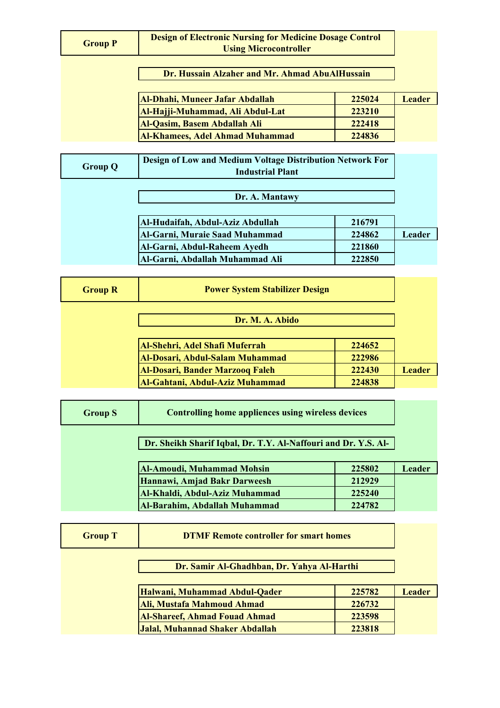| <b>Group P</b>                                 | <b>Design of Electronic Nursing for Medicine Dosage Control</b><br><b>Using Microcontroller</b> |        |               |
|------------------------------------------------|-------------------------------------------------------------------------------------------------|--------|---------------|
| Dr. Hussain Alzaher and Mr. Ahmad AbuAlHussain |                                                                                                 |        |               |
|                                                | Al-Dhahi, Muneer Jafar Abdallah                                                                 | 225024 | <b>Leader</b> |
|                                                | Al-Hajji-Muhammad, Ali Abdul-Lat                                                                | 223210 |               |
|                                                | <b>Al-Qasim, Basem Abdallah Ali</b>                                                             | 222418 |               |
|                                                | <b>Al-Khamees, Adel Ahmad Muhammad</b>                                                          | 224836 |               |
|                                                |                                                                                                 |        |               |
| <b>Group Q</b>                                 | Design of Low and Medium Voltage Distribution Network For<br><b>Industrial Plant</b>            |        |               |
| Dr. A. Mantawy                                 |                                                                                                 |        |               |

| Al-Hudaifah, Abdul-Aziz Abdullah | 216791 |        |
|----------------------------------|--------|--------|
| Al-Garni, Muraie Saad Muhammad   | 224862 | Leader |
| Al-Garni, Abdul-Raheem Ayedh     | 221860 |        |
| Al-Garni, Abdallah Muhammad Ali  | 222850 |        |

| <b>Group R</b> | <b>Power System Stabilizer Design</b>  |        |               |
|----------------|----------------------------------------|--------|---------------|
|                | Dr. M. A. Abido                        |        |               |
|                | Al-Shehri, Adel Shafi Muferrah         | 224652 |               |
|                | Al-Dosari, Abdul-Salam Muhammad        | 222986 |               |
|                | <b>Al-Dosari, Bander Marzooq Faleh</b> | 222430 | <b>Leader</b> |
|                | Al-Gahtani, Abdul-Aziz Muhammad        | 224838 |               |

| <b>Group S</b>                                                 | <b>Controlling home appliences using wireless devices</b> |        |               |
|----------------------------------------------------------------|-----------------------------------------------------------|--------|---------------|
| Dr. Sheikh Sharif Iqbal, Dr. T.Y. Al-Naffouri and Dr. Y.S. Al- |                                                           |        |               |
|                                                                | Al-Amoudi, Muhammad Mohsin                                | 225802 | <b>Leader</b> |
|                                                                | Hannawi, Amjad Bakr Darweesh                              | 212929 |               |
|                                                                | Al-Khaldi, Abdul-Aziz Muhammad                            | 225240 |               |
|                                                                | Al-Barahim, Abdallah Muhammad                             | 224782 |               |

| <b>Group T</b> | <b>DTMF Remote controller for smart homes</b> |        |               |
|----------------|-----------------------------------------------|--------|---------------|
|                | Dr. Samir Al-Ghadhban, Dr. Yahya Al-Harthi    |        |               |
|                | Halwani, Muhammad Abdul-Qader                 | 225782 | <b>Leader</b> |
|                | Ali, Mustafa Mahmoud Ahmad                    | 226732 |               |
|                | <b>Al-Shareef, Ahmad Fouad Ahmad</b>          | 223598 |               |
|                | Jalal, Muhannad Shaker Abdallah               | 223818 |               |